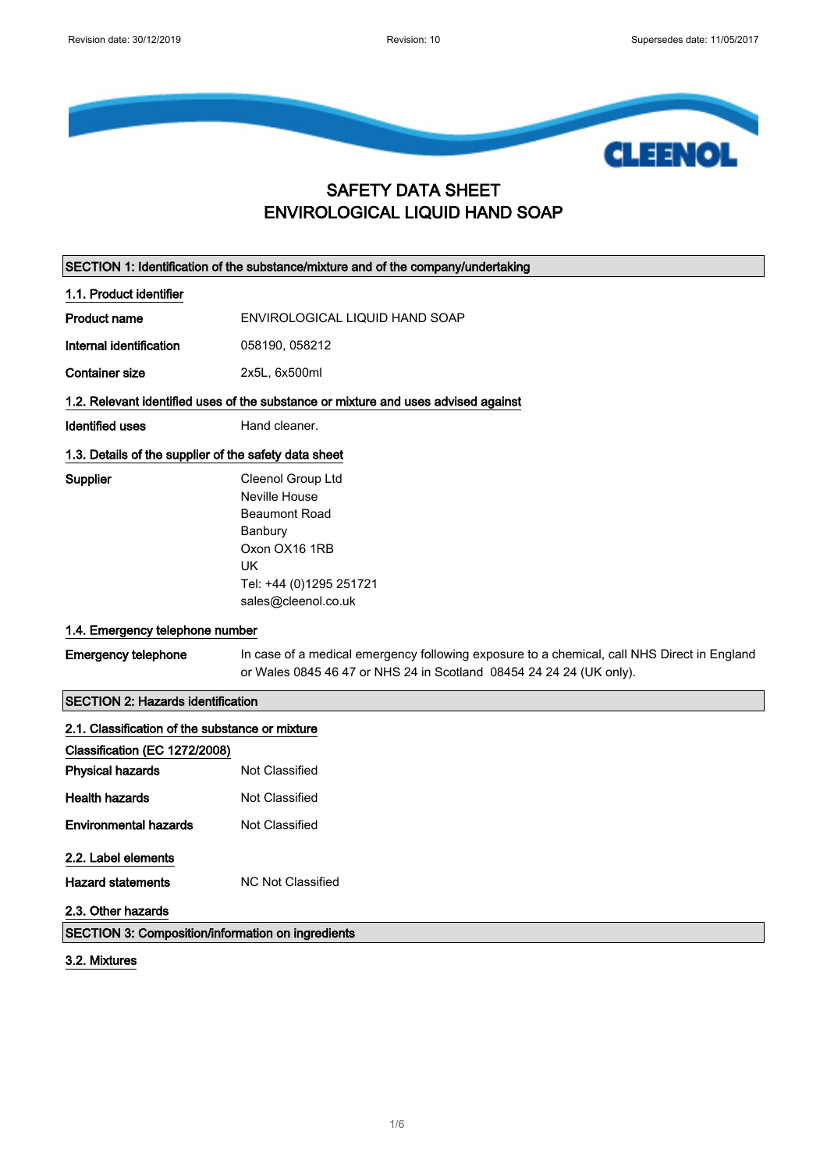

#### SAFETY DATA SHEET ENVIROLOGICAL LIQUID HAND SOAP

|                                                                                    | SECTION 1: Identification of the substance/mixture and of the company/undertaking                                                                                  |
|------------------------------------------------------------------------------------|--------------------------------------------------------------------------------------------------------------------------------------------------------------------|
| 1.1. Product identifier                                                            |                                                                                                                                                                    |
| <b>Product name</b>                                                                | ENVIROLOGICAL LIQUID HAND SOAP                                                                                                                                     |
| Internal identification                                                            | 058190, 058212                                                                                                                                                     |
| <b>Container size</b>                                                              | 2x5L, 6x500ml                                                                                                                                                      |
| 1.2. Relevant identified uses of the substance or mixture and uses advised against |                                                                                                                                                                    |
| <b>Identified uses</b>                                                             | Hand cleaner.                                                                                                                                                      |
| 1.3. Details of the supplier of the safety data sheet                              |                                                                                                                                                                    |
| Supplier                                                                           | Cleenol Group Ltd<br><b>Neville House</b><br><b>Beaumont Road</b><br>Banbury<br>Oxon OX16 1RB<br><b>UK</b><br>Tel: +44 (0)1295 251721<br>sales@cleenol.co.uk       |
| 1.4. Emergency telephone number                                                    |                                                                                                                                                                    |
| <b>Emergency telephone</b>                                                         | In case of a medical emergency following exposure to a chemical, call NHS Direct in England<br>or Wales 0845 46 47 or NHS 24 in Scotland 08454 24 24 24 (UK only). |
| <b>SECTION 2: Hazards identification</b>                                           |                                                                                                                                                                    |
| 2.1. Classification of the substance or mixture                                    |                                                                                                                                                                    |
| Classification (EC 1272/2008)                                                      |                                                                                                                                                                    |
| <b>Physical hazards</b>                                                            | <b>Not Classified</b>                                                                                                                                              |
| <b>Health hazards</b>                                                              | <b>Not Classified</b>                                                                                                                                              |
| <b>Environmental hazards</b>                                                       | Not Classified                                                                                                                                                     |
| 2.2. Label elements<br><b>Hazard statements</b><br>2.3. Other hazards              | <b>NC Not Classified</b>                                                                                                                                           |
| SECTION 3: Composition/information on ingredients                                  |                                                                                                                                                                    |

3.2. Mixtures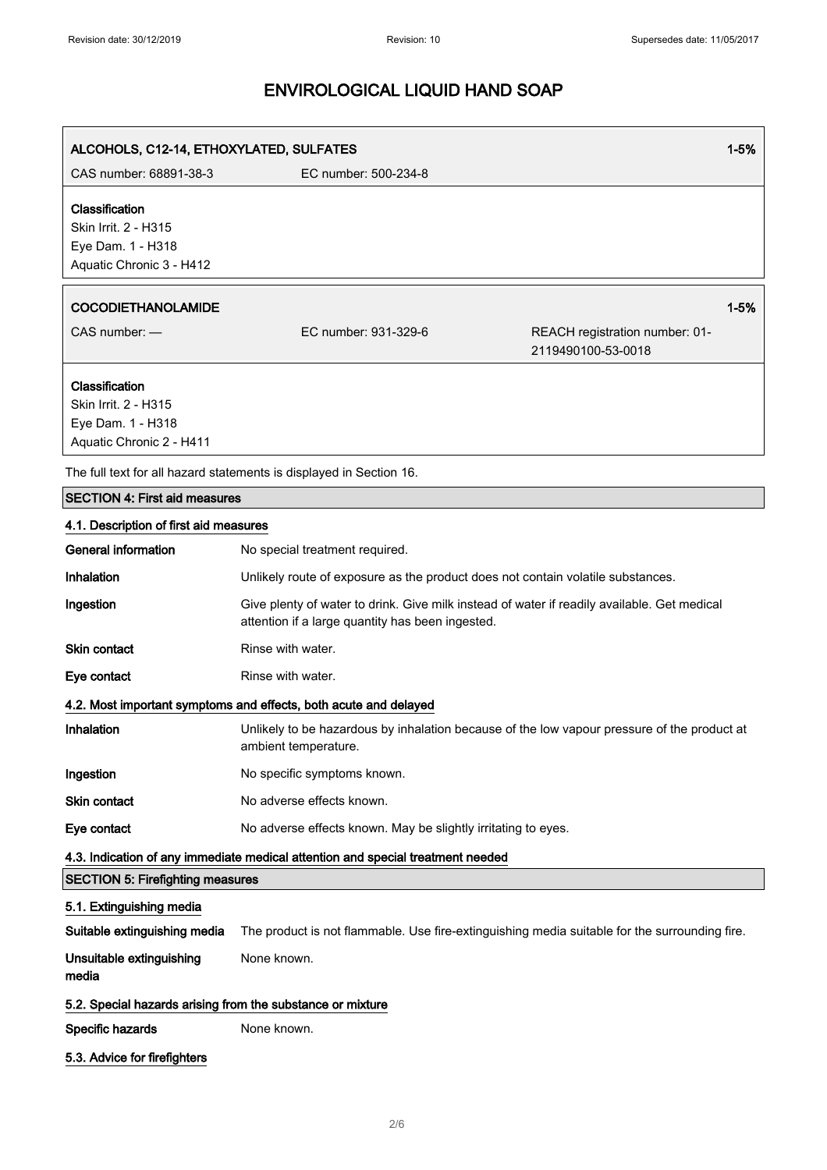| ALCOHOLS, C12-14, ETHOXYLATED, SULFATES<br>1-5%                                         |                                                                                                                                                 |                                                      |
|-----------------------------------------------------------------------------------------|-------------------------------------------------------------------------------------------------------------------------------------------------|------------------------------------------------------|
| CAS number: 68891-38-3                                                                  | EC number: 500-234-8                                                                                                                            |                                                      |
| Classification<br>Skin Irrit. 2 - H315<br>Eye Dam. 1 - H318<br>Aquatic Chronic 3 - H412 |                                                                                                                                                 |                                                      |
| <b>COCODIETHANOLAMIDE</b>                                                               |                                                                                                                                                 | $1 - 5%$                                             |
| CAS number: -                                                                           | EC number: 931-329-6                                                                                                                            | REACH registration number: 01-<br>2119490100-53-0018 |
| Classification<br>Skin Irrit. 2 - H315<br>Eye Dam. 1 - H318<br>Aquatic Chronic 2 - H411 |                                                                                                                                                 |                                                      |
|                                                                                         | The full text for all hazard statements is displayed in Section 16.                                                                             |                                                      |
| <b>SECTION 4: First aid measures</b>                                                    |                                                                                                                                                 |                                                      |
| 4.1. Description of first aid measures                                                  |                                                                                                                                                 |                                                      |
| <b>General information</b>                                                              | No special treatment required.                                                                                                                  |                                                      |
| Inhalation                                                                              | Unlikely route of exposure as the product does not contain volatile substances.                                                                 |                                                      |
| Ingestion                                                                               | Give plenty of water to drink. Give milk instead of water if readily available. Get medical<br>attention if a large quantity has been ingested. |                                                      |
| <b>Skin contact</b>                                                                     | Rinse with water.                                                                                                                               |                                                      |
| Eye contact                                                                             | Rinse with water.                                                                                                                               |                                                      |
|                                                                                         | 4.2. Most important symptoms and effects, both acute and delayed                                                                                |                                                      |
| Inhalation                                                                              | Unlikely to be hazardous by inhalation because of the low vapour pressure of the product at<br>ambient temperature.                             |                                                      |
| Ingestion                                                                               | No specific symptoms known.                                                                                                                     |                                                      |
| Skin contact                                                                            | No adverse effects known.                                                                                                                       |                                                      |
| Eye contact                                                                             | No adverse effects known. May be slightly irritating to eyes.                                                                                   |                                                      |
|                                                                                         | 4.3. Indication of any immediate medical attention and special treatment needed                                                                 |                                                      |
| <b>SECTION 5: Firefighting measures</b>                                                 |                                                                                                                                                 |                                                      |
| 5.1. Extinguishing media                                                                |                                                                                                                                                 |                                                      |
| Suitable extinguishing media                                                            | The product is not flammable. Use fire-extinguishing media suitable for the surrounding fire.                                                   |                                                      |
| Unsuitable extinguishing<br>media                                                       | None known.                                                                                                                                     |                                                      |
| 5.2. Special hazards arising from the substance or mixture                              |                                                                                                                                                 |                                                      |
| Specific hazards                                                                        | None known.                                                                                                                                     |                                                      |
| 5.3. Advice for firefighters                                                            |                                                                                                                                                 |                                                      |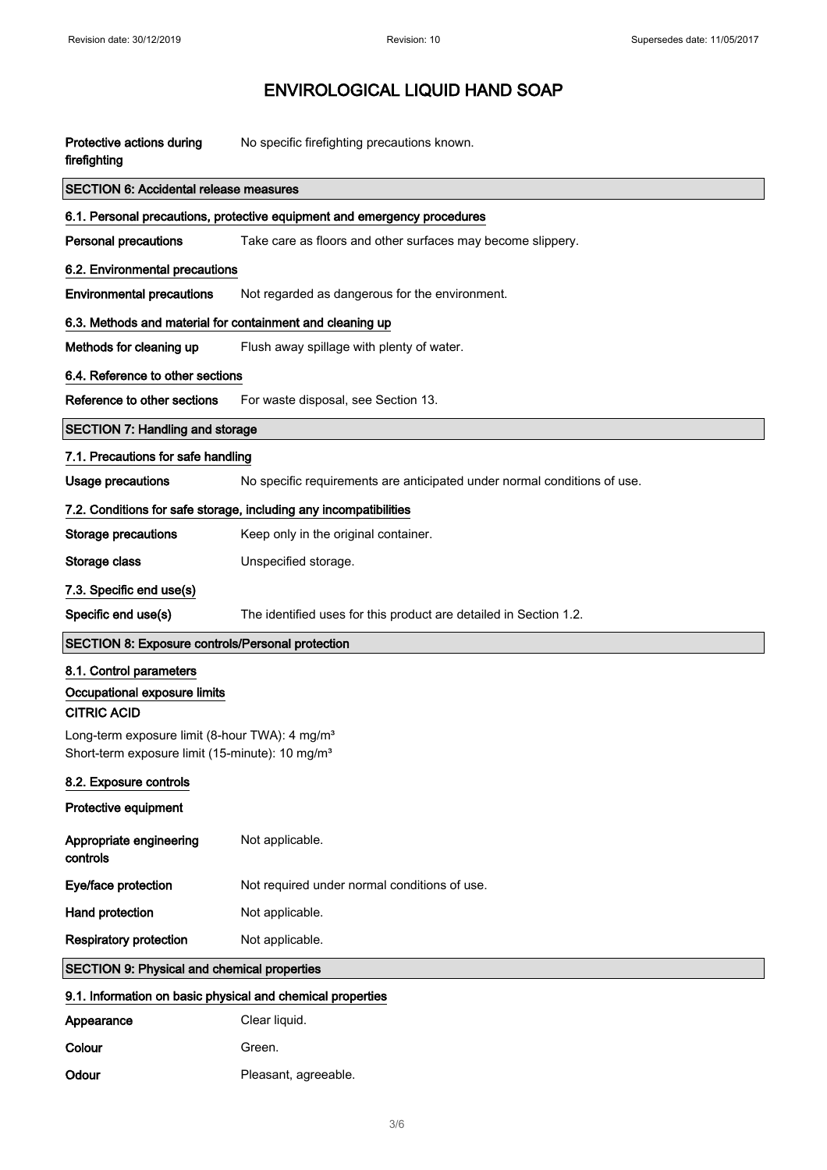| Protective actions during<br>firefighting                                                                                 | No specific firefighting precautions known.                              |  |
|---------------------------------------------------------------------------------------------------------------------------|--------------------------------------------------------------------------|--|
| <b>SECTION 6: Accidental release measures</b>                                                                             |                                                                          |  |
| 6.1. Personal precautions, protective equipment and emergency procedures                                                  |                                                                          |  |
| <b>Personal precautions</b>                                                                                               | Take care as floors and other surfaces may become slippery.              |  |
| 6.2. Environmental precautions                                                                                            |                                                                          |  |
| <b>Environmental precautions</b>                                                                                          | Not regarded as dangerous for the environment.                           |  |
| 6.3. Methods and material for containment and cleaning up                                                                 |                                                                          |  |
| Methods for cleaning up                                                                                                   | Flush away spillage with plenty of water.                                |  |
| 6.4. Reference to other sections                                                                                          |                                                                          |  |
| Reference to other sections                                                                                               | For waste disposal, see Section 13.                                      |  |
| <b>SECTION 7: Handling and storage</b>                                                                                    |                                                                          |  |
| 7.1. Precautions for safe handling                                                                                        |                                                                          |  |
| <b>Usage precautions</b>                                                                                                  | No specific requirements are anticipated under normal conditions of use. |  |
| 7.2. Conditions for safe storage, including any incompatibilities                                                         |                                                                          |  |
| <b>Storage precautions</b>                                                                                                | Keep only in the original container.                                     |  |
| Storage class                                                                                                             | Unspecified storage.                                                     |  |
| 7.3. Specific end use(s)                                                                                                  |                                                                          |  |
| Specific end use(s)                                                                                                       | The identified uses for this product are detailed in Section 1.2.        |  |
| <b>SECTION 8: Exposure controls/Personal protection</b>                                                                   |                                                                          |  |
| 8.1. Control parameters<br>Occupational exposure limits                                                                   |                                                                          |  |
| <b>CITRIC ACID</b>                                                                                                        |                                                                          |  |
| Long-term exposure limit (8-hour TWA): 4 mg/m <sup>3</sup><br>Short-term exposure limit (15-minute): 10 mg/m <sup>3</sup> |                                                                          |  |
| 8.2. Exposure controls                                                                                                    |                                                                          |  |
| Protective equipment                                                                                                      |                                                                          |  |
| Appropriate engineering<br>controls                                                                                       | Not applicable.                                                          |  |
| Eye/face protection                                                                                                       | Not required under normal conditions of use.                             |  |
| Hand protection                                                                                                           | Not applicable.                                                          |  |
| <b>Respiratory protection</b>                                                                                             | Not applicable.                                                          |  |
| <b>SECTION 9: Physical and chemical properties</b>                                                                        |                                                                          |  |
| 9.1. Information on basic physical and chemical properties                                                                |                                                                          |  |
| Appearance                                                                                                                | Clear liquid.                                                            |  |
| Colour                                                                                                                    | Green.                                                                   |  |
| Odour                                                                                                                     | Pleasant, agreeable.                                                     |  |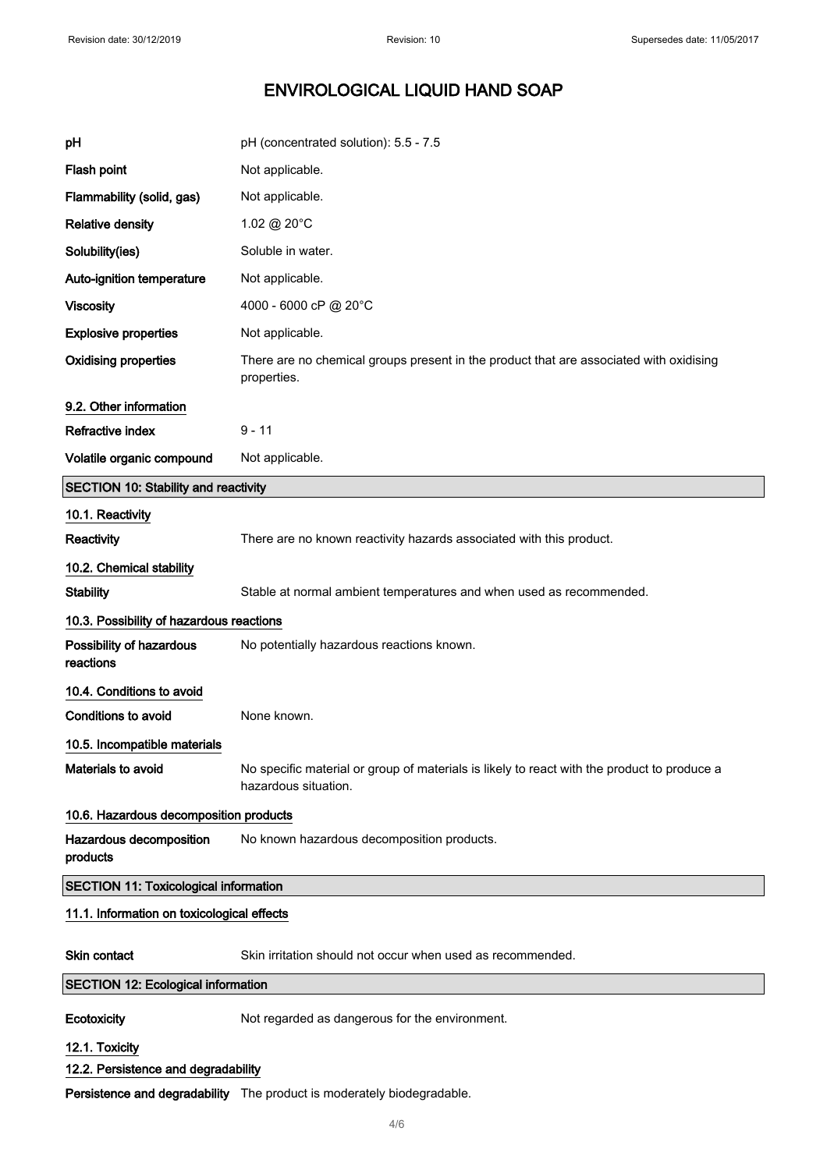| pH                                           | pH (concentrated solution): 5.5 - 7.5                                                                               |
|----------------------------------------------|---------------------------------------------------------------------------------------------------------------------|
| Flash point                                  | Not applicable.                                                                                                     |
| Flammability (solid, gas)                    | Not applicable.                                                                                                     |
| <b>Relative density</b>                      | 1.02 @ 20°C                                                                                                         |
| Solubility(ies)                              | Soluble in water.                                                                                                   |
| Auto-ignition temperature                    | Not applicable.                                                                                                     |
| <b>Viscosity</b>                             | 4000 - 6000 cP @ 20°C                                                                                               |
| <b>Explosive properties</b>                  | Not applicable.                                                                                                     |
| <b>Oxidising properties</b>                  | There are no chemical groups present in the product that are associated with oxidising<br>properties.               |
| 9.2. Other information                       |                                                                                                                     |
| <b>Refractive index</b>                      | $9 - 11$                                                                                                            |
| Volatile organic compound                    | Not applicable.                                                                                                     |
| <b>SECTION 10: Stability and reactivity</b>  |                                                                                                                     |
| 10.1. Reactivity                             |                                                                                                                     |
| <b>Reactivity</b>                            | There are no known reactivity hazards associated with this product.                                                 |
| 10.2. Chemical stability                     |                                                                                                                     |
| <b>Stability</b>                             | Stable at normal ambient temperatures and when used as recommended.                                                 |
| 10.3. Possibility of hazardous reactions     |                                                                                                                     |
| Possibility of hazardous<br>reactions        | No potentially hazardous reactions known.                                                                           |
| 10.4. Conditions to avoid                    |                                                                                                                     |
| <b>Conditions to avoid</b>                   | None known.                                                                                                         |
| 10.5. Incompatible materials                 |                                                                                                                     |
| Materials to avoid                           | No specific material or group of materials is likely to react with the product to produce a<br>hazardous situation. |
| 10.6. Hazardous decomposition products       |                                                                                                                     |
| Hazardous decomposition<br>products          | No known hazardous decomposition products.                                                                          |
| <b>SECTION 11: Toxicological information</b> |                                                                                                                     |
| 11.1. Information on toxicological effects   |                                                                                                                     |
| Skin contact                                 | Skin irritation should not occur when used as recommended.                                                          |
| <b>SECTION 12: Ecological information</b>    |                                                                                                                     |
| Ecotoxicity                                  | Not regarded as dangerous for the environment.                                                                      |
| 12.1. Toxicity                               |                                                                                                                     |
| 12.2. Persistence and degradability          |                                                                                                                     |
|                                              | Persistence and degradability The product is moderately biodegradable.                                              |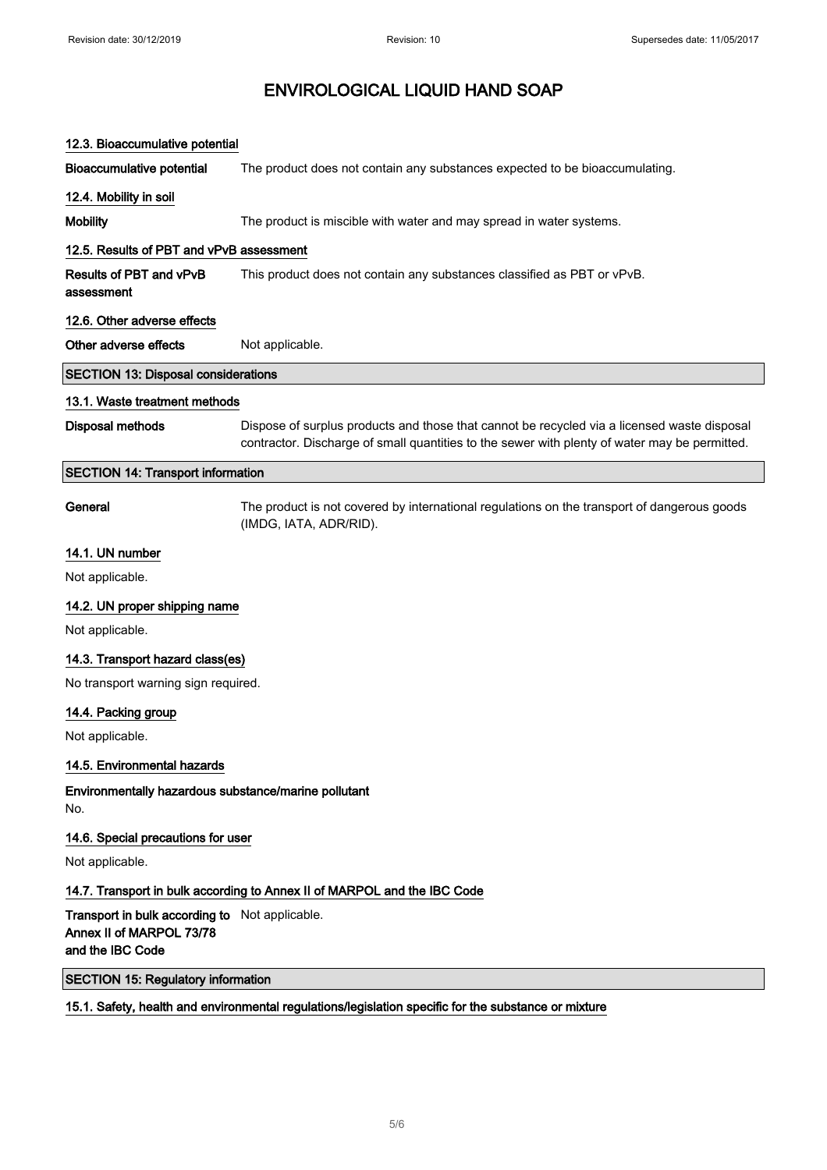| 12.3. Bioaccumulative potential                                                                |                                                                                                                                                                                              |  |
|------------------------------------------------------------------------------------------------|----------------------------------------------------------------------------------------------------------------------------------------------------------------------------------------------|--|
| <b>Bioaccumulative potential</b>                                                               | The product does not contain any substances expected to be bioaccumulating.                                                                                                                  |  |
| 12.4. Mobility in soil                                                                         |                                                                                                                                                                                              |  |
| <b>Mobility</b>                                                                                | The product is miscible with water and may spread in water systems.                                                                                                                          |  |
| 12.5. Results of PBT and vPvB assessment                                                       |                                                                                                                                                                                              |  |
| Results of PBT and vPvB<br>assessment                                                          | This product does not contain any substances classified as PBT or vPvB.                                                                                                                      |  |
| 12.6. Other adverse effects                                                                    |                                                                                                                                                                                              |  |
| Other adverse effects                                                                          | Not applicable.                                                                                                                                                                              |  |
| <b>SECTION 13: Disposal considerations</b>                                                     |                                                                                                                                                                                              |  |
| 13.1. Waste treatment methods                                                                  |                                                                                                                                                                                              |  |
| <b>Disposal methods</b>                                                                        | Dispose of surplus products and those that cannot be recycled via a licensed waste disposal<br>contractor. Discharge of small quantities to the sewer with plenty of water may be permitted. |  |
| <b>SECTION 14: Transport information</b>                                                       |                                                                                                                                                                                              |  |
| General                                                                                        | The product is not covered by international regulations on the transport of dangerous goods<br>(IMDG, IATA, ADR/RID).                                                                        |  |
| 14.1. UN number                                                                                |                                                                                                                                                                                              |  |
| Not applicable.                                                                                |                                                                                                                                                                                              |  |
| 14.2. UN proper shipping name                                                                  |                                                                                                                                                                                              |  |
| Not applicable.                                                                                |                                                                                                                                                                                              |  |
| 14.3. Transport hazard class(es)                                                               |                                                                                                                                                                                              |  |
| No transport warning sign required.                                                            |                                                                                                                                                                                              |  |
| 14.4. Packing group                                                                            |                                                                                                                                                                                              |  |
| Not applicable.                                                                                |                                                                                                                                                                                              |  |
| 14.5. Environmental hazards                                                                    |                                                                                                                                                                                              |  |
| Environmentally hazardous substance/marine pollutant<br>No.                                    |                                                                                                                                                                                              |  |
| 14.6. Special precautions for user                                                             |                                                                                                                                                                                              |  |
| Not applicable.                                                                                |                                                                                                                                                                                              |  |
|                                                                                                | 14.7. Transport in bulk according to Annex II of MARPOL and the IBC Code                                                                                                                     |  |
| Transport in bulk according to Not applicable.<br>Annex II of MARPOL 73/78<br>and the IBC Code |                                                                                                                                                                                              |  |
| <b>SECTION 15: Regulatory information</b>                                                      |                                                                                                                                                                                              |  |
|                                                                                                | 15.1. Safety, health and environmental regulations/legislation specific for the substance or mixture                                                                                         |  |